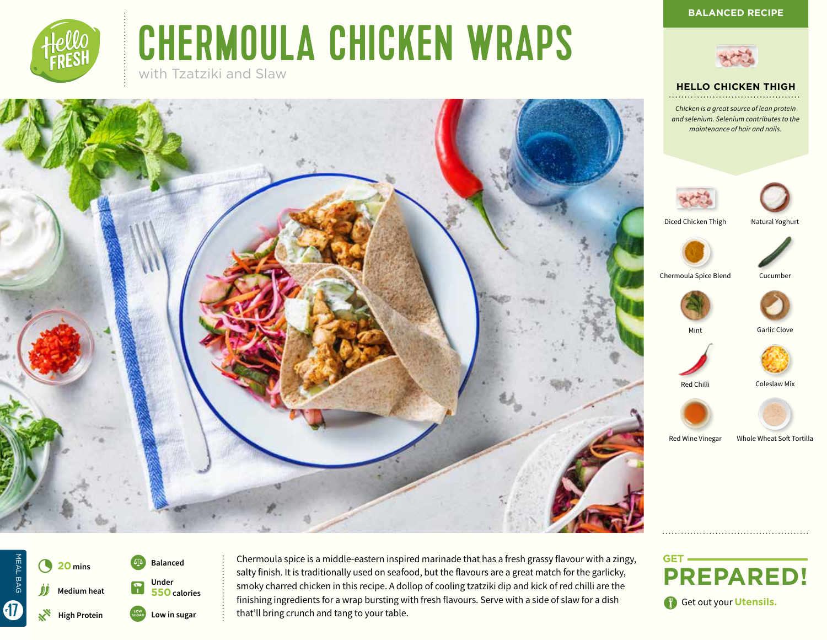**HELLO CHICKEN THIGH**



# CHERMOULA CHICKEN WRAPS

with Tzatziki and Slaw







Chermoula spice is a middle-eastern inspired marinade that has a fresh grassy flavour with a zingy, salty finish. It is traditionally used on seafood, but the flavours are a great match for the garlicky, smoky charred chicken in this recipe. A dollop of cooling tzatziki dip and kick of red chilli are the finishing ingredients for a wrap bursting with fresh flavours. Serve with a side of slaw for a dish that'll bring crunch and tang to your table.